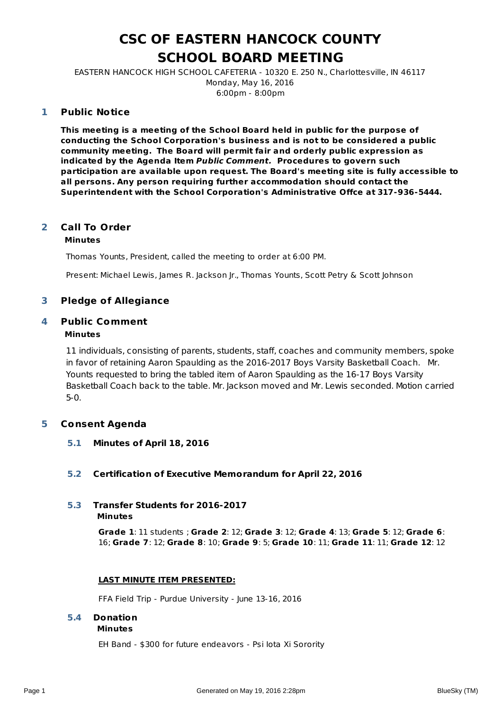# **CSC OF EASTERN HANCOCK COUNTY SCHOOL BOARD MEETING**

EASTERN HANCOCK HIGH SCHOOL CAFETERIA - 10320 E. 250 N., Charlottesville, IN 46117 Monday, May 16, 2016 6:00pm - 8:00pm

#### **Public Notice 1**

**This meeting is a meeting of the School Board held in public for the purpose of conducting the School Corporation's business and is not to be considered a public community meeting. The Board will permit fair and orderly public expression as indicated by the Agenda Item Public Comment. Procedures to govern such participation are available upon request. The Board's meeting site is fully accessible to all persons. Any person requiring further accommodation should contact the Superintendent with the School Corporation's Administrative Offce at 317-936-5444.**

#### **Call To Order 2**

# **Minutes**

Thomas Younts, President, called the meeting to order at 6:00 PM.

Present: Michael Lewis, James R. Jackson Jr., Thomas Younts, Scott Petry & Scott Johnson

# **3 Pledge of Allegiance**

#### **Public Comment 4**

### **Minutes**

11 individuals, consisting of parents, students, staff, coaches and community members, spoke in favor of retaining Aaron Spaulding as the 2016-2017 Boys Varsity Basketball Coach. Mr. Younts requested to bring the tabled item of Aaron Spaulding as the 16-17 Boys Varsity Basketball Coach back to the table. Mr. Jackson moved and Mr. Lewis seconded. Motion carried 5-0.

# **5 Consent Agenda**

**5.1 Minutes of April 18, 2016**

### **5.2 Certification of Executive Memorandum for April 22, 2016**

- **5.3 Transfer Students for 2016-2017**
	- **Minutes**

**Grade 1**: 11 students ; **Grade 2**: 12; **Grade 3**: 12; **Grade 4**: 13; **Grade 5**: 12; **Grade 6**: 16; **Grade 7**: 12; **Grade 8**: 10; **Grade 9**: 5; **Grade 10**: 11; **Grade 11**: 11; **Grade 12**: 12

### **LAST MINUTE ITEM PRESENTED:**

FFA Field Trip - Purdue University - June 13-16, 2016

### **5.4 Donation**

#### **Minutes**

EH Band - \$300 for future endeavors - Psi Iota Xi Sorority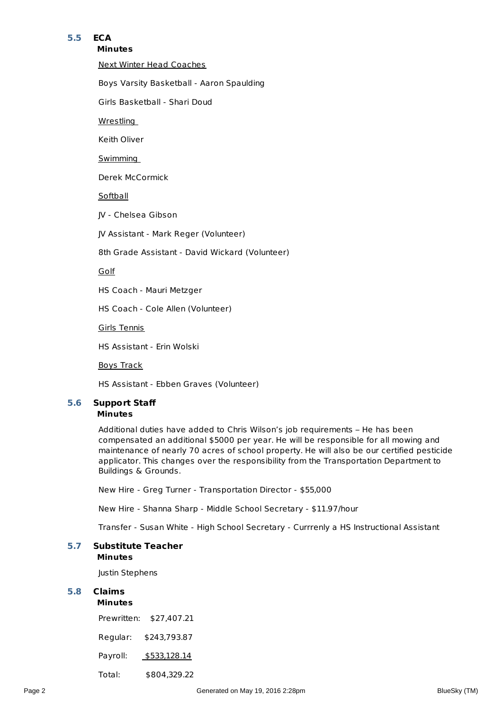# **5.5 ECA**

#### **Minutes**

Next Winter Head Coaches

Boys Varsity Basketball - Aaron Spaulding

Girls Basketball - Shari Doud

**Wrestling** 

Keith Oliver

Swimming

Derek McCormick

**Softball** 

JV - Chelsea Gibson

JV Assistant - Mark Reger (Volunteer)

8th Grade Assistant - David Wickard (Volunteer)

Golf

HS Coach - Mauri Metzger

HS Coach - Cole Allen (Volunteer)

Girls Tennis

HS Assistant - Erin Wolski

Boys Track

HS Assistant - Ebben Graves (Volunteer)

#### **Minutes 5.6 Support Staff**

Additional duties have added to Chris Wilson's job requirements – He has been compensated an additional \$5000 per year. He will be responsible for all mowing and maintenance of nearly 70 acres of school property. He will also be our certified pesticide applicator. This changes over the responsibility from the Transportation Department to Buildings & Grounds.

New Hire - Greg Turner - Transportation Director - \$55,000

New Hire - Shanna Sharp - Middle School Secretary - \$11.97/hour

Transfer - Susan White - High School Secretary - Currrenly a HS Instructional Assistant

#### **Minutes 5.7 Substitute Teacher**

Justin Stephens

# **5.8 Claims**

**Minutes** Prewritten: \$27,407.21 Regular: \$243,793.87 Payroll: \$533,128.14 Total: \$804,329.22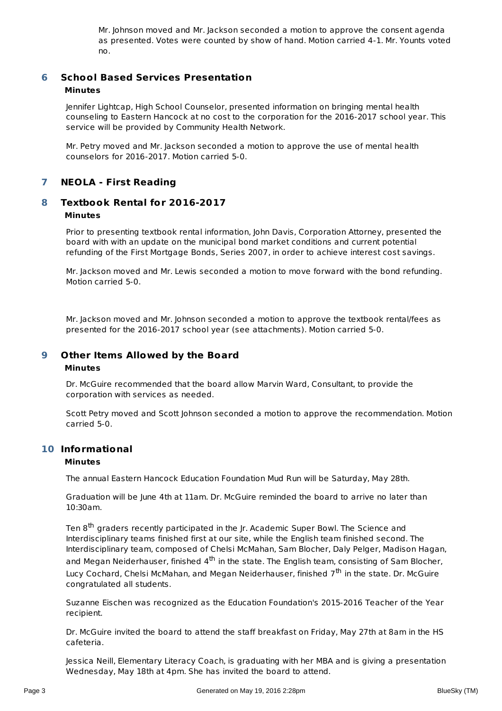Mr. Johnson moved and Mr. Jackson seconded a motion to approve the consent agenda as presented. Votes were counted by show of hand. Motion carried 4-1. Mr. Younts voted no.

#### **School Based Services Presentation Minutes 6**

Jennifer Lightcap, High School Counselor, presented information on bringing mental health counseling to Eastern Hancock at no cost to the corporation for the 2016-2017 school year. This service will be provided by Community Health Network.

Mr. Petry moved and Mr. Jackson seconded a motion to approve the use of mental health counselors for 2016-2017. Motion carried 5-0.

# **7 NEOLA - First Reading**

#### **Textbook Rental for 2016-2017 Minutes 8**

Prior to presenting textbook rental information, John Davis, Corporation Attorney, presented the board with with an update on the municipal bond market conditions and current potential refunding of the First Mortgage Bonds, Series 2007, in order to achieve interest cost savings.

Mr. Jackson moved and Mr. Lewis seconded a motion to move forward with the bond refunding. Motion carried 5-0.

Mr. Jackson moved and Mr. Johnson seconded a motion to approve the textbook rental/fees as presented for the 2016-2017 school year (see attachments). Motion carried 5-0.

#### **Other Items Allowed by the Board 9**

### **Minutes**

Dr. McGuire recommended that the board allow Marvin Ward, Consultant, to provide the corporation with services as needed.

Scott Petry moved and Scott Johnson seconded a motion to approve the recommendation. Motion carried 5-0.

# **Informational 10**

### **Minutes**

The annual Eastern Hancock Education Foundation Mud Run will be Saturday, May 28th.

Graduation will be June 4th at 11am. Dr. McGuire reminded the board to arrive no later than 10:30am.

Ten 8<sup>th</sup> graders recently participated in the Jr. Academic Super Bowl. The Science and Interdisciplinary teams finished first at our site, while the English team finished second. The Interdisciplinary team, composed of Chelsi McMahan, Sam Blocher, Daly Pelger, Madison Hagan, and Megan Neiderhauser, finished 4<sup>th</sup> in the state. The English team, consisting of Sam Blocher, Lucy Cochard, Chelsi McMahan, and Megan Neiderhauser, finished 7<sup>th</sup> in the state. Dr. McGuire congratulated all students.

Suzanne Eischen was recognized as the Education Foundation's 2015-2016 Teacher of the Year recipient.

Dr. McGuire invited the board to attend the staff breakfast on Friday, May 27th at 8am in the HS cafeteria.

Jessica Neill, Elementary Literacy Coach, is graduating with her MBA and is giving a presentation Wednesday, May 18th at 4pm. She has invited the board to attend.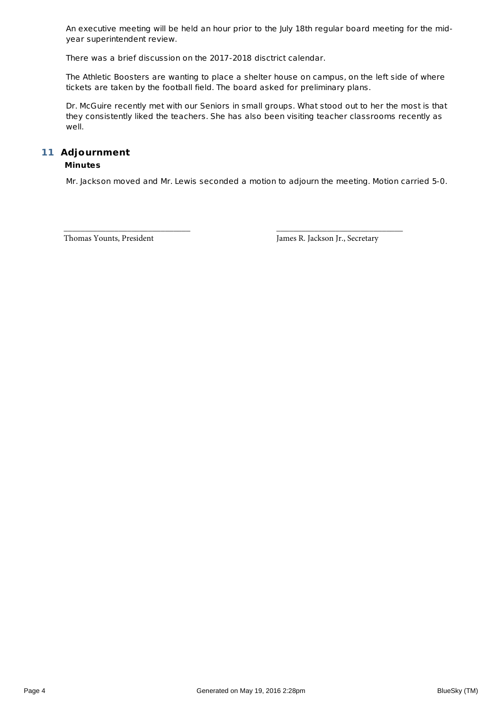An executive meeting will be held an hour prior to the July 18th regular board meeting for the midyear superintendent review.

There was a brief discussion on the 2017-2018 disctrict calendar.

The Athletic Boosters are wanting to place a shelter house on campus, on the left side of where tickets are taken by the football field. The board asked for preliminary plans.

Dr. McGuire recently met with our Seniors in small groups. What stood out to her the most is that they consistently liked the teachers. She has also been visiting teacher classrooms recently as well.

### **Adjournment 11 Minutes**

Mr. Jackson moved and Mr. Lewis seconded a motion to adjourn the meeting. Motion carried 5-0.

\_\_\_\_\_\_\_\_\_\_\_\_\_\_\_\_\_\_\_\_\_\_\_\_\_\_\_\_\_\_ \_\_\_\_\_\_\_\_\_\_\_\_\_\_\_\_\_\_\_\_\_\_\_\_\_\_\_\_\_\_

Thomas Younts, President James R. Jackson Jr., Secretary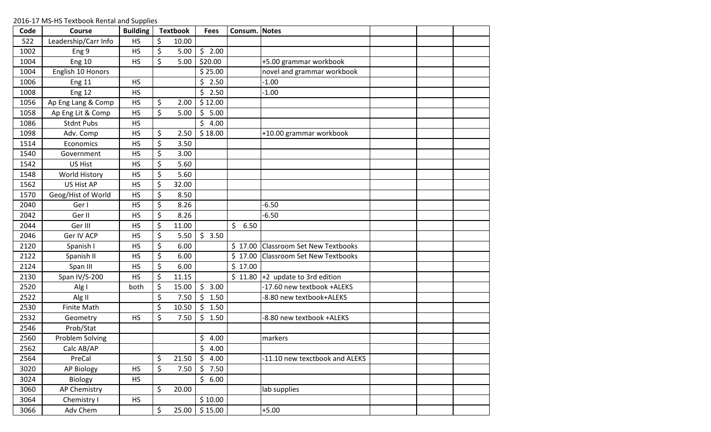| Code | Course               | <b>Building</b> | <b>Textbook</b> | <b>Fees</b>     | Consum. Notes |                                              |  |  |
|------|----------------------|-----------------|-----------------|-----------------|---------------|----------------------------------------------|--|--|
| 522  | Leadership/Carr Info | <b>HS</b>       | \$<br>10.00     |                 |               |                                              |  |  |
| 1002 | Eng 9                | <b>HS</b>       | \$<br>5.00      | \$2.00          |               |                                              |  |  |
| 1004 | <b>Eng 10</b>        | <b>HS</b>       | \$<br>5.00      | \$20.00         |               | +5.00 grammar workbook                       |  |  |
| 1004 | English 10 Honors    |                 |                 | \$25.00         |               | novel and grammar workbook                   |  |  |
| 1006 | <b>Eng 11</b>        | <b>HS</b>       |                 | \$<br>2.50      |               | $-1.00$                                      |  |  |
| 1008 | <b>Eng 12</b>        | <b>HS</b>       |                 | \$<br>2.50      |               | $-1.00$                                      |  |  |
| 1056 | Ap Eng Lang & Comp   | HS              | \$<br>2.00      | \$12.00         |               |                                              |  |  |
| 1058 | Ap Eng Lit & Comp    | <b>HS</b>       | \$<br>5.00      | \$<br>5.00      |               |                                              |  |  |
| 1086 | <b>Stdnt Pubs</b>    | <b>HS</b>       |                 | \$<br>4.00      |               |                                              |  |  |
| 1098 | Adv. Comp            | <b>HS</b>       | \$<br>2.50      | \$18.00         |               | +10.00 grammar workbook                      |  |  |
| 1514 | Economics            | <b>HS</b>       | \$<br>3.50      |                 |               |                                              |  |  |
| 1540 | Government           | <b>HS</b>       | \$<br>3.00      |                 |               |                                              |  |  |
| 1542 | <b>US Hist</b>       | <b>HS</b>       | \$<br>5.60      |                 |               |                                              |  |  |
| 1548 | <b>World History</b> | <b>HS</b>       | \$<br>5.60      |                 |               |                                              |  |  |
| 1562 | <b>US Hist AP</b>    | <b>HS</b>       | \$<br>32.00     |                 |               |                                              |  |  |
| 1570 | Geog/Hist of World   | <b>HS</b>       | \$<br>8.50      |                 |               |                                              |  |  |
| 2040 | Ger I                | <b>HS</b>       | \$<br>8.26      |                 |               | $-6.50$                                      |  |  |
| 2042 | Ger II               | <b>HS</b>       | \$<br>8.26      |                 |               | $-6.50$                                      |  |  |
| 2044 | Ger III              | <b>HS</b>       | \$<br>11.00     |                 | \$<br>6.50    |                                              |  |  |
| 2046 | Ger IV ACP           | <b>HS</b>       | \$<br>5.50      | \$3.50          |               |                                              |  |  |
| 2120 | Spanish I            | <b>HS</b>       | \$<br>6.00      |                 |               | \$17.00 Classroom Set New Textbooks          |  |  |
| 2122 | Spanish II           | <b>HS</b>       | \$<br>6.00      |                 |               | \$17.00 Classroom Set New Textbooks          |  |  |
| 2124 | Span III             | <b>HS</b>       | \$<br>6.00      |                 | \$17.00       |                                              |  |  |
| 2130 | Span IV/S-200        | <b>HS</b>       | \$<br>11.15     |                 |               | $\frac{1}{2}$ 11.80 +2 update to 3rd edition |  |  |
| 2520 | Alg I                | both            | \$<br>15.00     | \$<br>3.00      |               | -17.60 new textbook +ALEKS                   |  |  |
| 2522 | Alg II               |                 | \$<br>7.50      | \$<br>1.50      |               | -8.80 new textbook+ALEKS                     |  |  |
| 2530 | <b>Finite Math</b>   |                 | \$<br>10.50     | \$<br>1.50      |               |                                              |  |  |
| 2532 | Geometry             | <b>HS</b>       | \$<br>7.50      | \$<br>1.50      |               | -8.80 new textbook +ALEKS                    |  |  |
| 2546 | Prob/Stat            |                 |                 |                 |               |                                              |  |  |
| 2560 | Problem Solving      |                 |                 | \$<br>4.00      |               | markers                                      |  |  |
| 2562 | Calc AB/AP           |                 |                 | \$<br>4.00      |               |                                              |  |  |
| 2564 | PreCal               |                 | \$<br>21.50     | \$<br>4.00      |               | -11.10 new texctbook and ALEKS               |  |  |
| 3020 | <b>AP Biology</b>    | <b>HS</b>       | \$<br>7.50      | \$<br>7.50      |               |                                              |  |  |
| 3024 | Biology              | <b>HS</b>       |                 | $\zeta$<br>6.00 |               |                                              |  |  |
| 3060 | <b>AP Chemistry</b>  |                 | \$<br>20.00     |                 |               | lab supplies                                 |  |  |
| 3064 | Chemistry I          | <b>HS</b>       |                 | \$10.00         |               |                                              |  |  |
| 3066 | Adv Chem             |                 | \$<br>25.00     | \$15.00         |               | $+5.00$                                      |  |  |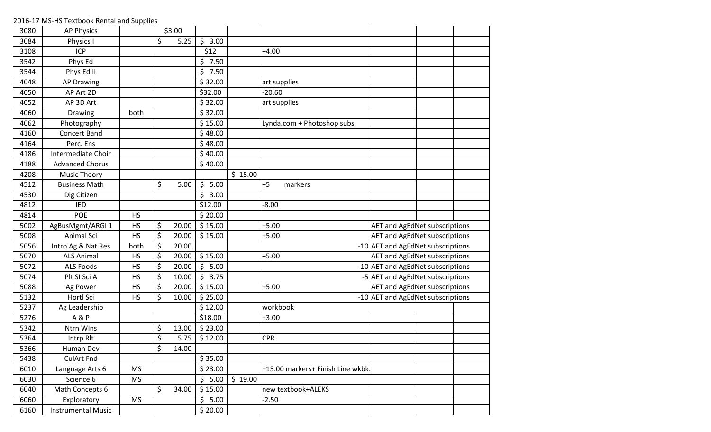| 3080 | <b>AP Physics</b>         |           | \$3.00      |            |         |                                   |                                      |  |
|------|---------------------------|-----------|-------------|------------|---------|-----------------------------------|--------------------------------------|--|
| 3084 | Physics I                 |           | \$<br>5.25  | \$<br>3.00 |         |                                   |                                      |  |
| 3108 | <b>ICP</b>                |           |             | \$12       |         | $+4.00$                           |                                      |  |
| 3542 | Phys Ed                   |           |             | \$<br>7.50 |         |                                   |                                      |  |
| 3544 | Phys Ed II                |           |             | \$<br>7.50 |         |                                   |                                      |  |
| 4048 | <b>AP Drawing</b>         |           |             | \$32.00    |         | art supplies                      |                                      |  |
| 4050 | AP Art 2D                 |           |             | \$32.00    |         | $-20.60$                          |                                      |  |
| 4052 | AP 3D Art                 |           |             | \$32.00    |         | art supplies                      |                                      |  |
| 4060 | Drawing                   | both      |             | \$32.00    |         |                                   |                                      |  |
| 4062 | Photography               |           |             | \$15.00    |         | Lynda.com + Photoshop subs.       |                                      |  |
| 4160 | <b>Concert Band</b>       |           |             | \$48.00    |         |                                   |                                      |  |
| 4164 | Perc. Ens                 |           |             | \$48.00    |         |                                   |                                      |  |
| 4186 | Intermediate Choir        |           |             | \$40.00    |         |                                   |                                      |  |
| 4188 | <b>Advanced Chorus</b>    |           |             | \$40.00    |         |                                   |                                      |  |
| 4208 | <b>Music Theory</b>       |           |             |            | \$15.00 |                                   |                                      |  |
| 4512 | <b>Business Math</b>      |           | \$<br>5.00  | \$<br>5.00 |         | $+5$<br>markers                   |                                      |  |
| 4530 | Dig Citizen               |           |             | \$<br>3.00 |         |                                   |                                      |  |
| 4812 | <b>IED</b>                |           |             | \$12.00    |         | $-8.00$                           |                                      |  |
| 4814 | POE                       | <b>HS</b> |             | \$20.00    |         |                                   |                                      |  |
| 5002 | AgBusMgmt/ARGI 1          | HS        | \$<br>20.00 | \$15.00    |         | $+5.00$                           | <b>AET and AgEdNet subscriptions</b> |  |
| 5008 | Animal Sci                | <b>HS</b> | \$<br>20.00 | \$15.00    |         | $+5.00$                           | <b>AET and AgEdNet subscriptions</b> |  |
| 5056 | Intro Ag & Nat Res        | both      | \$<br>20.00 |            |         |                                   | -10 AET and AgEdNet subscriptions    |  |
| 5070 | <b>ALS Animal</b>         | <b>HS</b> | \$<br>20.00 | \$15.00    |         | $+5.00$                           | <b>AET and AgEdNet subscriptions</b> |  |
| 5072 | <b>ALS Foods</b>          | <b>HS</b> | \$<br>20.00 | \$<br>5.00 |         |                                   | -10 AET and AgEdNet subscriptions    |  |
| 5074 | Plt SI Sci A              | <b>HS</b> | \$<br>10.00 | \$<br>3.75 |         |                                   | -5 AET and AgEdNet subscriptions     |  |
| 5088 | Ag Power                  | HS        | \$<br>20.00 | \$15.00    |         | $+5.00$                           | <b>AET and AgEdNet subscriptions</b> |  |
| 5132 | Hortl Sci                 | <b>HS</b> | \$<br>10.00 | \$25.00    |         |                                   | -10 AET and AgEdNet subscriptions    |  |
| 5237 | Ag Leadership             |           |             | \$12.00    |         | workbook                          |                                      |  |
| 5276 | A & P                     |           |             | \$18.00    |         | $+3.00$                           |                                      |  |
| 5342 | Ntrn WIns                 |           | \$<br>13.00 | \$23.00    |         |                                   |                                      |  |
| 5364 | Intrp Rlt                 |           | \$<br>5.75  | \$12.00    |         | <b>CPR</b>                        |                                      |  |
| 5366 | Human Dev                 |           | \$<br>14.00 |            |         |                                   |                                      |  |
| 5438 | <b>CulArt Fnd</b>         |           |             | \$35.00    |         |                                   |                                      |  |
| 6010 | Language Arts 6           | <b>MS</b> |             | \$23.00    |         | +15.00 markers+ Finish Line wkbk. |                                      |  |
| 6030 | Science 6                 | <b>MS</b> |             | \$5.00     | \$19.00 |                                   |                                      |  |
| 6040 | Math Concepts 6           |           | \$<br>34.00 | \$15.00    |         | new textbook+ALEKS                |                                      |  |
| 6060 | Exploratory               | <b>MS</b> |             | \$5.00     |         | $-2.50$                           |                                      |  |
| 6160 | <b>Instrumental Music</b> |           |             | \$20.00    |         |                                   |                                      |  |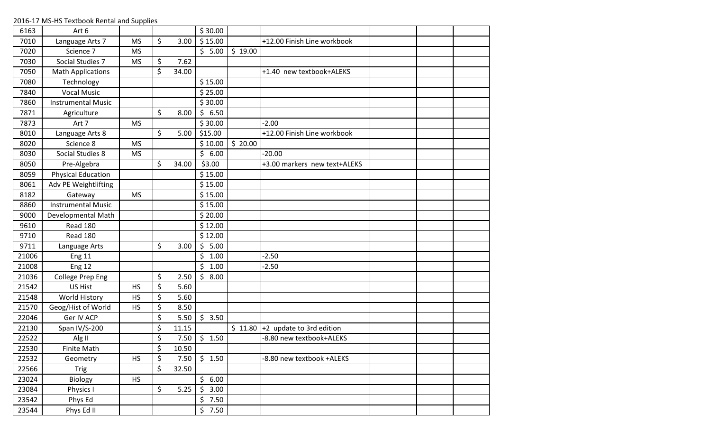| 6163  | Art 6                     |           |             | \$30.00    |         |                              |  |  |
|-------|---------------------------|-----------|-------------|------------|---------|------------------------------|--|--|
| 7010  | Language Arts 7           | <b>MS</b> | \$<br>3.00  | \$15.00    |         | +12.00 Finish Line workbook  |  |  |
| 7020  | Science 7                 | <b>MS</b> |             | \$5.00     | \$19.00 |                              |  |  |
| 7030  | Social Studies 7          | <b>MS</b> | \$<br>7.62  |            |         |                              |  |  |
| 7050  | <b>Math Applications</b>  |           | \$<br>34.00 |            |         | +1.40 new textbook+ALEKS     |  |  |
| 7080  | Technology                |           |             | \$15.00    |         |                              |  |  |
| 7840  | <b>Vocal Music</b>        |           |             | \$25.00    |         |                              |  |  |
| 7860  | <b>Instrumental Music</b> |           |             | \$30.00    |         |                              |  |  |
| 7871  | Agriculture               |           | \$<br>8.00  | \$<br>6.50 |         |                              |  |  |
| 7873  | Art 7                     | <b>MS</b> |             | \$30.00    |         | $-2.00$                      |  |  |
| 8010  | Language Arts 8           |           | \$<br>5.00  | \$15.00    |         | +12.00 Finish Line workbook  |  |  |
| 8020  | Science 8                 | <b>MS</b> |             | \$10.00    | \$20.00 |                              |  |  |
| 8030  | Social Studies 8          | <b>MS</b> |             | \$<br>6.00 |         | $-20.00$                     |  |  |
| 8050  | Pre-Algebra               |           | \$<br>34.00 | \$3.00     |         | +3.00 markers new text+ALEKS |  |  |
| 8059  | <b>Physical Education</b> |           |             | \$15.00    |         |                              |  |  |
| 8061  | Adv PE Weightlifting      |           |             | \$15.00    |         |                              |  |  |
| 8182  | Gateway                   | <b>MS</b> |             | \$15.00    |         |                              |  |  |
| 8860  | <b>Instrumental Music</b> |           |             | \$15.00    |         |                              |  |  |
| 9000  | Developmental Math        |           |             | \$20.00    |         |                              |  |  |
| 9610  | Read 180                  |           |             | \$12.00    |         |                              |  |  |
| 9710  | <b>Read 180</b>           |           |             | \$12.00    |         |                              |  |  |
| 9711  | Language Arts             |           | \$<br>3.00  | \$<br>5.00 |         |                              |  |  |
| 21006 | <b>Eng 11</b>             |           |             | \$<br>1.00 |         | $-2.50$                      |  |  |
| 21008 | <b>Eng 12</b>             |           |             | \$<br>1.00 |         | $-2.50$                      |  |  |
| 21036 | <b>College Prep Eng</b>   |           | \$<br>2.50  | \$<br>8.00 |         |                              |  |  |
| 21542 | <b>US Hist</b>            | <b>HS</b> | \$<br>5.60  |            |         |                              |  |  |
| 21548 | World History             | <b>HS</b> | \$<br>5.60  |            |         |                              |  |  |
| 21570 | Geog/Hist of World        | <b>HS</b> | \$<br>8.50  |            |         |                              |  |  |
| 22046 | Ger IV ACP                |           | \$<br>5.50  | \$3.50     |         |                              |  |  |
| 22130 | Span IV/S-200             |           | \$<br>11.15 |            | \$11.80 | $+2$ update to 3rd edition   |  |  |
| 22522 | Alg II                    |           | \$<br>7.50  | \$1.50     |         | -8.80 new textbook+ALEKS     |  |  |
| 22530 | <b>Finite Math</b>        |           | \$<br>10.50 |            |         |                              |  |  |
| 22532 | Geometry                  | <b>HS</b> | \$<br>7.50  | \$1.50     |         | -8.80 new textbook +ALEKS    |  |  |
| 22566 | Trig                      |           | \$<br>32.50 |            |         |                              |  |  |
| 23024 | Biology                   | <b>HS</b> |             | \$<br>6.00 |         |                              |  |  |
| 23084 | Physics I                 |           | \$<br>5.25  | \$<br>3.00 |         |                              |  |  |
| 23542 | Phys Ed                   |           |             | \$<br>7.50 |         |                              |  |  |
| 23544 | Phys Ed II                |           |             | \$7.50     |         |                              |  |  |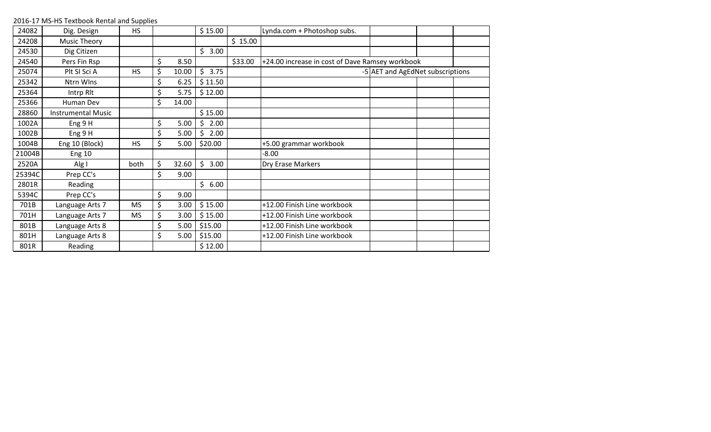| 24082  | Dig. Design               | <b>HS</b> |             | \$15.00    |         | Lynda.com + Photoshop subs.                     |                                  |  |
|--------|---------------------------|-----------|-------------|------------|---------|-------------------------------------------------|----------------------------------|--|
| 24208  | Music Theory              |           |             |            | \$15.00 |                                                 |                                  |  |
| 24530  | Dig Citizen               |           |             | \$<br>3.00 |         |                                                 |                                  |  |
| 24540  | Pers Fin Rsp              |           | \$<br>8.50  |            | \$33.00 | +24.00 increase in cost of Dave Ramsey workbook |                                  |  |
| 25074  | Plt SI Sci A              | <b>HS</b> | \$<br>10.00 | \$<br>3.75 |         |                                                 | -5 AET and AgEdNet subscriptions |  |
| 25342  | Ntrn WIns                 |           | \$<br>6.25  | \$11.50    |         |                                                 |                                  |  |
| 25364  | Intrp Rlt                 |           | \$<br>5.75  | \$12.00    |         |                                                 |                                  |  |
| 25366  | Human Dev                 |           | \$<br>14.00 |            |         |                                                 |                                  |  |
| 28860  | <b>Instrumental Music</b> |           |             | \$15.00    |         |                                                 |                                  |  |
| 1002A  | Eng 9 H                   |           | \$<br>5.00  | 2.00<br>Ś  |         |                                                 |                                  |  |
| 1002B  | Eng 9 H                   |           | \$<br>5.00  | \$<br>2.00 |         |                                                 |                                  |  |
| 1004B  | Eng 10 (Block)            | <b>HS</b> | \$<br>5.00  | \$20.00    |         | +5.00 grammar workbook                          |                                  |  |
| 21004B | <b>Eng 10</b>             |           |             |            |         | $-8.00$                                         |                                  |  |
| 2520A  | Alg I                     | both      | \$<br>32.60 | \$<br>3.00 |         | Dry Erase Markers                               |                                  |  |
| 25394C | Prep CC's                 |           | \$<br>9.00  |            |         |                                                 |                                  |  |
| 2801R  | Reading                   |           |             | \$<br>6.00 |         |                                                 |                                  |  |
| 5394C  | Prep CC's                 |           | \$<br>9.00  |            |         |                                                 |                                  |  |
| 701B   | Language Arts 7           | <b>MS</b> | \$<br>3.00  | \$15.00    |         | +12.00 Finish Line workbook                     |                                  |  |
| 701H   | Language Arts 7           | <b>MS</b> | \$<br>3.00  | \$15.00    |         | +12.00 Finish Line workbook                     |                                  |  |
| 801B   | Language Arts 8           |           | \$<br>5.00  | \$15.00    |         | +12.00 Finish Line workbook                     |                                  |  |
| 801H   | Language Arts 8           |           | \$<br>5.00  | \$15.00    |         | +12.00 Finish Line workbook                     |                                  |  |
| 801R   | Reading                   |           |             | \$12.00    |         |                                                 |                                  |  |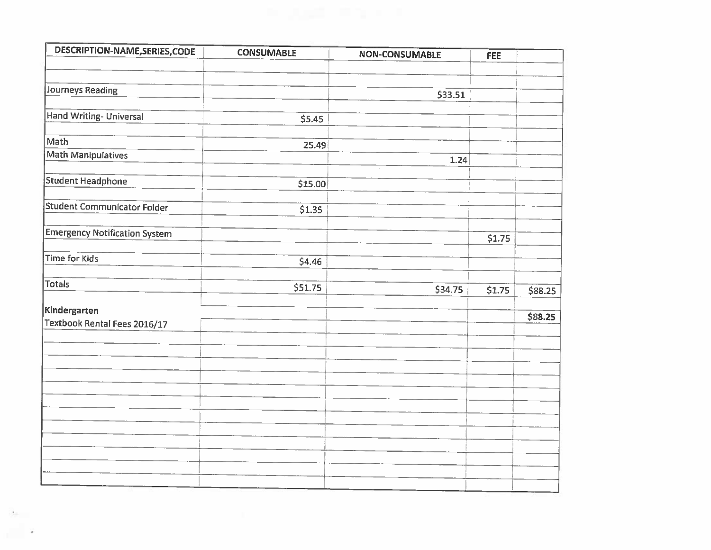| DESCRIPTION-NAME, SERIES, CODE       | <b>CONSUMABLE</b> | <b>NON-CONSUMABLE</b> | <b>FEE</b> |         |
|--------------------------------------|-------------------|-----------------------|------------|---------|
|                                      |                   |                       |            |         |
| Journeys Reading                     |                   | \$33.51               |            |         |
| <b>Hand Writing- Universal</b>       | \$5.45            |                       |            |         |
| Math                                 | 25.49             |                       |            |         |
| <b>Math Manipulatives</b>            |                   | 1.24                  |            |         |
| <b>Student Headphone</b>             | \$15.00           |                       |            |         |
| <b>Student Communicator Folder</b>   | 51.35             |                       |            |         |
| <b>Emergency Notification System</b> |                   |                       | \$1.75     |         |
| <b>Time for Kids</b>                 | 54.46             |                       |            |         |
| <b>Totals</b>                        | \$51.75           | \$34.75               | \$1.75     | \$88.25 |
| Kindergarten                         |                   |                       |            | \$88.25 |
| Textbook Rental Fees 2016/17         |                   |                       |            |         |
|                                      |                   |                       |            |         |
|                                      |                   |                       |            |         |
|                                      |                   |                       |            |         |
|                                      |                   |                       |            |         |
|                                      |                   |                       |            |         |
|                                      |                   |                       |            |         |
|                                      |                   |                       |            |         |

 $\epsilon_{\rm{m}}$ 

a i P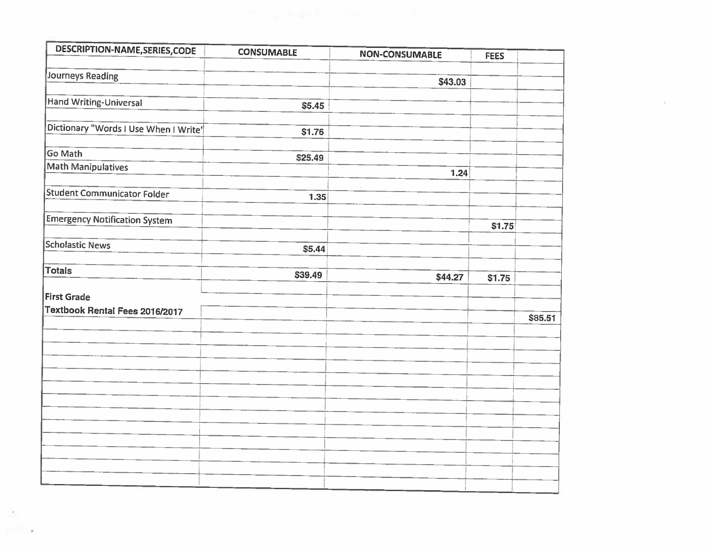| DESCRIPTION-NAME, SERIES, CODE        | <b>CONSUMABLE</b> | <b>NON-CONSUMABLE</b> | <b>FEES</b> |         |
|---------------------------------------|-------------------|-----------------------|-------------|---------|
| Journeys Reading                      |                   |                       |             |         |
|                                       |                   | \$43.03               |             |         |
| <b>Hand Writing-Universal</b>         | \$5.45            |                       |             |         |
|                                       |                   |                       |             |         |
| Dictionary "Words I Use When I Write" | \$1.76            |                       |             |         |
| Go Math                               | \$25.49           |                       |             |         |
| <b>Math Manipulatives</b>             |                   | 1.24                  |             |         |
| Student Communicator Folder           |                   |                       |             |         |
|                                       | 1.35              |                       |             |         |
| <b>Emergency Notification System</b>  |                   |                       | \$1.75      |         |
| <b>Scholastic News</b>                | \$5,44            |                       |             |         |
|                                       |                   |                       |             |         |
| <b>Totals</b>                         | \$39.49           | \$44.27               | \$1.75      |         |
| <b>First Grade</b>                    |                   |                       |             |         |
| Textbook Rental Fees 2016/2017        |                   |                       |             | \$85.51 |
|                                       |                   |                       |             |         |
|                                       |                   |                       |             |         |
|                                       |                   |                       |             |         |
|                                       |                   |                       |             |         |
|                                       |                   |                       |             |         |
|                                       |                   |                       |             |         |
|                                       |                   |                       |             |         |
|                                       |                   |                       |             |         |
|                                       |                   |                       |             |         |
|                                       |                   |                       |             |         |
|                                       |                   |                       |             |         |

 $\mathcal{A}_{\mathcal{A}}$  $\sim$  10  $\mu$   $\sim 10^{11}$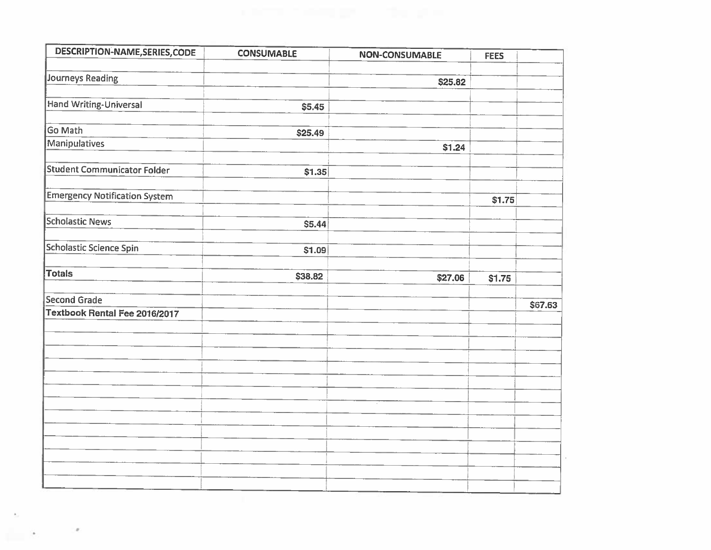| DESCRIPTION-NAME, SERIES, CODE       | <b>CONSUMABLE</b> | <b>NON-CONSUMABLE</b> | <b>FEES</b> |         |
|--------------------------------------|-------------------|-----------------------|-------------|---------|
| <b>Journeys Reading</b>              |                   |                       |             |         |
|                                      |                   | \$25.82               |             |         |
| <b>Hand Writing-Universal</b>        | \$5.45            |                       |             |         |
| <b>Go Math</b>                       | \$25.49           |                       |             |         |
| <b>Manipulatives</b>                 |                   | \$1.24                |             |         |
| <b>Student Communicator Folder</b>   | \$1.35            |                       |             |         |
| <b>Emergency Notification System</b> |                   |                       | \$1.75      |         |
| <b>Scholastic News</b>               | \$5.44            |                       |             |         |
| <b>Scholastic Science Spin</b>       | \$1.09            |                       |             |         |
| <b>Totals</b>                        | \$38.82           | \$27.06               | \$1.75      |         |
| <b>Second Grade</b>                  |                   |                       |             | \$67.63 |
| <b>Textbook Rental Fee 2016/2017</b> |                   |                       |             |         |
|                                      |                   |                       |             |         |
|                                      |                   |                       |             |         |
|                                      |                   |                       |             |         |
|                                      |                   |                       |             |         |
|                                      |                   |                       |             |         |
|                                      |                   |                       |             |         |
|                                      |                   |                       |             |         |

 $\epsilon$ 

 $\frac{1}{2}$ 

 $\theta$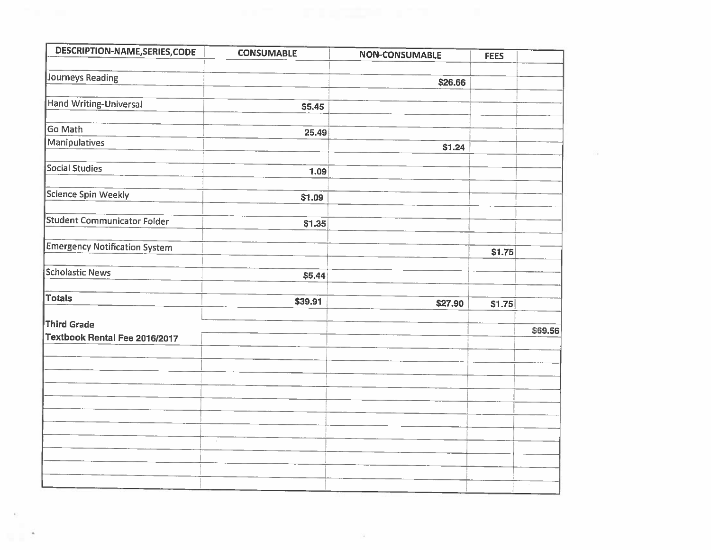| DESCRIPTION-NAME, SERIES, CODE       | <b>CONSUMABLE</b> | <b>NON-CONSUMABLE</b> | <b>FEES</b> |         |
|--------------------------------------|-------------------|-----------------------|-------------|---------|
| <b>Journeys Reading</b>              |                   | \$26.66               |             |         |
|                                      |                   |                       |             |         |
| <b>Hand Writing-Universal</b>        | \$5.45            |                       |             |         |
| Go Math                              | 25.49             |                       |             |         |
| <b>Manipulatives</b>                 |                   | \$1.24                |             |         |
| <b>Social Studies</b>                | 1.09              |                       |             |         |
| <b>Science Spin Weekly</b>           | \$1.09            |                       |             |         |
| <b>Student Communicator Folder</b>   | \$1.35            |                       |             |         |
| <b>Emergency Notification System</b> |                   |                       | \$1.75      |         |
| <b>Scholastic News</b>               | \$5.44            |                       |             |         |
| <b>Totals</b>                        | \$39.91           | \$27.90               | \$1.75      |         |
| <b>Third Grade</b>                   |                   |                       |             | \$69.56 |
| Textbook Rental Fee 2016/2017        |                   |                       |             |         |
|                                      |                   |                       |             |         |
|                                      |                   |                       |             |         |
|                                      |                   |                       |             |         |
|                                      | $\epsilon$        |                       |             |         |
|                                      |                   |                       |             |         |
|                                      |                   |                       |             |         |

 $\alpha$ 

 $\overline{\Sigma}$ 

 $\sim 100$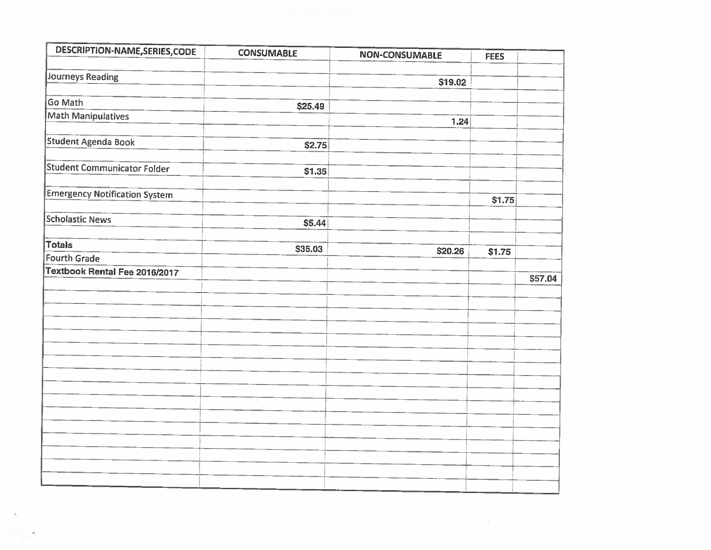| DESCRIPTION-NAME, SERIES, CODE       | <b>CONSUMABLE</b> | <b>NON-CONSUMABLE</b> | <b>FEES</b> |         |
|--------------------------------------|-------------------|-----------------------|-------------|---------|
| <b>Journeys Reading</b>              |                   |                       |             |         |
|                                      |                   | \$19.02               |             |         |
| Go Math                              | \$25.49           |                       |             |         |
| <b>Math Manipulatives</b>            |                   | 1.24                  |             |         |
|                                      |                   |                       |             |         |
| Student Agenda Book                  | \$2.75            |                       |             |         |
| <b>Student Communicator Folder</b>   | \$1.35            |                       |             |         |
| <b>Emergency Notification System</b> |                   |                       | \$1.75      |         |
| <b>Scholastic News</b>               | \$5.44            |                       |             |         |
|                                      |                   |                       |             |         |
| <b>Totals</b>                        | \$35.03           | \$20.26               | \$1.75      |         |
| <b>Fourth Grade</b>                  |                   |                       |             |         |
| Textbook Rental Fee 2016/2017        |                   |                       |             | \$57.04 |
|                                      |                   |                       |             |         |
|                                      |                   |                       |             |         |
|                                      |                   |                       |             |         |
|                                      |                   |                       |             |         |
|                                      |                   |                       |             |         |
|                                      |                   |                       |             |         |
|                                      |                   |                       |             |         |
|                                      |                   |                       |             |         |
|                                      |                   |                       |             |         |
|                                      |                   |                       |             |         |
|                                      |                   |                       |             |         |
|                                      |                   |                       |             |         |
|                                      |                   |                       |             |         |

 $\mathcal{N}_{\rm{in}}^{\rm{c}}$ 

 $\mathcal{D}=\mathcal{D}_{\text{max}}$ 

 $\sim$   $^{-1}$